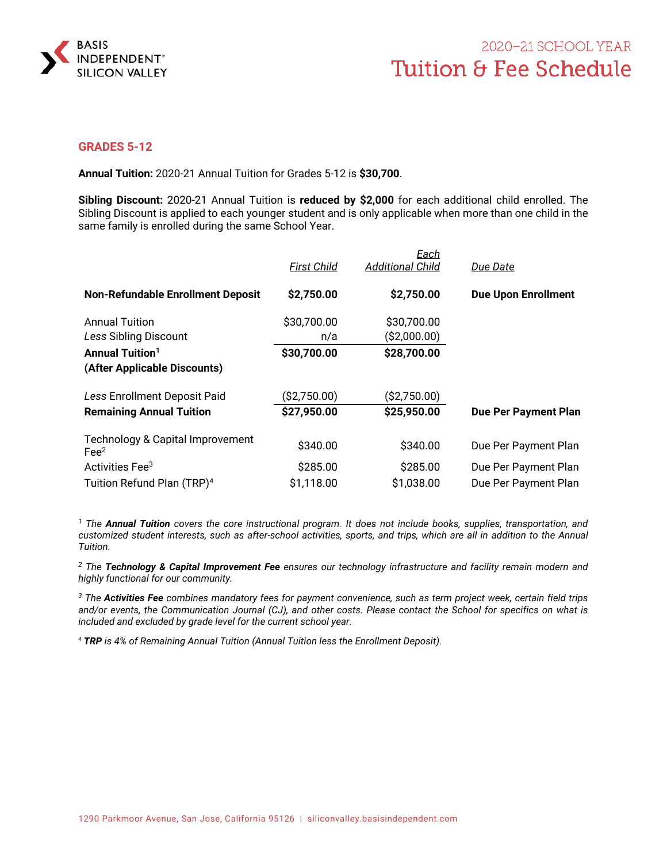

## **GRADES 5-12**

**Annual Tuition:** 2020-21 Annual Tuition for Grades 5-12 is **\$30,700**.

**Sibling Discount:** 2020-21 Annual Tuition is **reduced by \$2,000** for each additional child enrolled. The Sibling Discount is applied to each younger student and is only applicable when more than one child in the same family is enrolled during the same School Year.

|                                                     | <b>First Child</b> | <b>Each</b><br><b>Additional Child</b> | Due Date                    |
|-----------------------------------------------------|--------------------|----------------------------------------|-----------------------------|
| <b>Non-Refundable Enrollment Deposit</b>            | \$2,750.00         | \$2,750.00                             | <b>Due Upon Enrollment</b>  |
| <b>Annual Tuition</b><br>Less Sibling Discount      | \$30,700.00<br>n/a | \$30,700.00<br>( \$2,000.00)           |                             |
| <b>Annual Tuition<sup>1</sup></b>                   | \$30,700.00        | \$28,700.00                            |                             |
| (After Applicable Discounts)                        |                    |                                        |                             |
| Less Enrollment Deposit Paid                        | ( \$2,750.00)      | (\$2,750.00)                           |                             |
| <b>Remaining Annual Tuition</b>                     | \$27,950.00        | \$25,950.00                            | <b>Due Per Payment Plan</b> |
| Technology & Capital Improvement<br>Fe <sup>2</sup> | \$340.00           | \$340.00                               | Due Per Payment Plan        |
| Activities Fee <sup>3</sup>                         | \$285.00           | \$285.00                               | Due Per Payment Plan        |
| Tuition Refund Plan (TRP) <sup>4</sup>              | \$1,118.00         | \$1,038.00                             | Due Per Payment Plan        |

*1 The Annual Tuition covers the core instructional program. It does not include books, supplies, transportation, and customized student interests, such as after-school activities, sports, and trips, which are all in addition to the Annual Tuition.* 

*2 The Technology & Capital Improvement Fee ensures our technology infrastructure and facility remain modern and highly functional for our community.* 

*3 The Activities Fee combines mandatory fees for payment convenience, such as term project week, certain field trips and/or events, the Communication Journal (CJ), and other costs. Please contact the School for specifics on what is included and excluded by grade level for the current school year.* 

*<sup>4</sup> TRP is 4% of Remaining Annual Tuition (Annual Tuition less the Enrollment Deposit).*